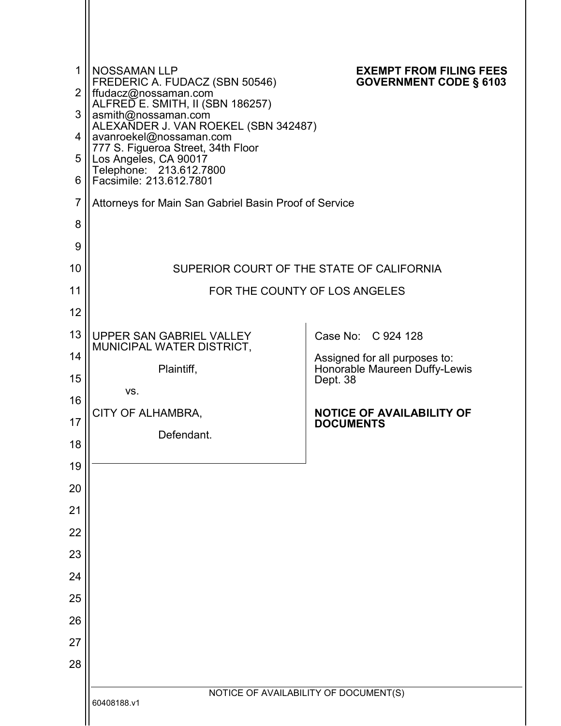| $\mathbf{1}$   | <b>NOSSAMAN LLP</b>                                                                    | <b>EXEMPT FROM FILING FEES</b>                                 |
|----------------|----------------------------------------------------------------------------------------|----------------------------------------------------------------|
| $\overline{2}$ | FREDERIC A. FUDACZ (SBN 50546)<br>ffudacz@nossaman.com                                 | <b>GOVERNMENT CODE § 6103</b>                                  |
| 3              | ALFRED E. SMITH, II (SBN 186257)<br>asmith@nossaman.com                                |                                                                |
| 4              | ALEXANDER J. VAN ROEKEL (SBN 342487)<br>avanroekel@nossaman.com                        |                                                                |
| 5              | 777 S. Figueroa Street, 34th Floor<br>Los Angeles, CA 90017<br>Telephone: 213.612.7800 |                                                                |
| 6              | Facsimile: 213.612.7801                                                                |                                                                |
| $\overline{7}$ | Attorneys for Main San Gabriel Basin Proof of Service                                  |                                                                |
| 8              |                                                                                        |                                                                |
| 9              |                                                                                        |                                                                |
| 10             | SUPERIOR COURT OF THE STATE OF CALIFORNIA                                              |                                                                |
| 11             |                                                                                        | FOR THE COUNTY OF LOS ANGELES                                  |
| 12             |                                                                                        |                                                                |
| 13             | UPPER SAN GABRIEL VALLEY<br>MUNICIPAL WATER DISTRICT,                                  | Case No: C 924 128                                             |
| 14             | Plaintiff,                                                                             | Assigned for all purposes to:<br>Honorable Maureen Duffy-Lewis |
| 15             | VS.                                                                                    | Dept. 38                                                       |
| 16             | CITY OF ALHAMBRA,                                                                      | <b>NOTICE OF AVAILABILITY OF</b>                               |
| 17             | Defendant.                                                                             | <b>DOCUMENTS</b>                                               |
| 18             |                                                                                        |                                                                |
| 19             |                                                                                        |                                                                |
| 20             |                                                                                        |                                                                |
| 21             |                                                                                        |                                                                |
| 22             |                                                                                        |                                                                |
| 23<br>24       |                                                                                        |                                                                |
| 25             |                                                                                        |                                                                |
| 26             |                                                                                        |                                                                |
| 27             |                                                                                        |                                                                |
| 28             |                                                                                        |                                                                |
|                |                                                                                        |                                                                |
|                | 60408188.v1                                                                            | NOTICE OF AVAILABILITY OF DOCUMENT(S)                          |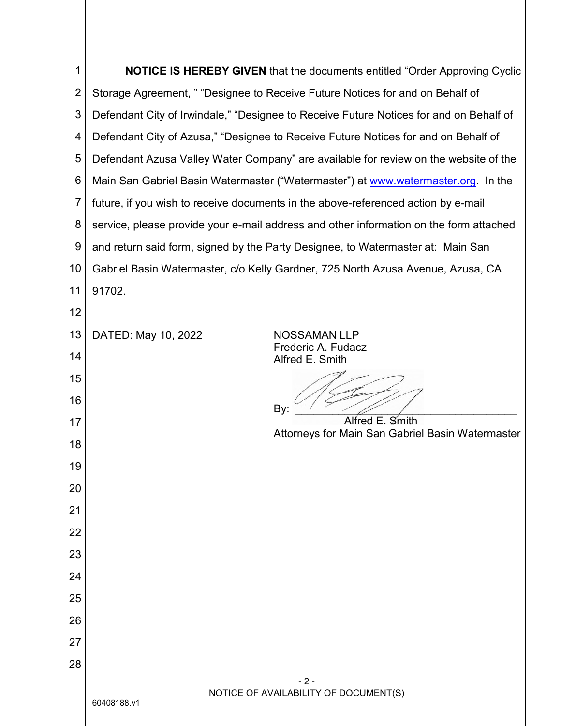| 1              | NOTICE IS HEREBY GIVEN that the documents entitled "Order Approving Cyclic             |  |  |
|----------------|----------------------------------------------------------------------------------------|--|--|
| $\overline{2}$ | Storage Agreement, " "Designee to Receive Future Notices for and on Behalf of          |  |  |
| 3              | Defendant City of Irwindale," "Designee to Receive Future Notices for and on Behalf of |  |  |
| 4              | Defendant City of Azusa," "Designee to Receive Future Notices for and on Behalf of     |  |  |
| 5              | Defendant Azusa Valley Water Company" are available for review on the website of the   |  |  |
| 6              | Main San Gabriel Basin Watermaster ("Watermaster") at www.watermaster.org. In the      |  |  |
| 7              | future, if you wish to receive documents in the above-referenced action by e-mail      |  |  |
| 8              | service, please provide your e-mail address and other information on the form attached |  |  |
| 9              | and return said form, signed by the Party Designee, to Watermaster at: Main San        |  |  |
| 10             | Gabriel Basin Watermaster, c/o Kelly Gardner, 725 North Azusa Avenue, Azusa, CA        |  |  |
| 11             | 91702.                                                                                 |  |  |
| 12             |                                                                                        |  |  |
| 13             | DATED: May 10, 2022<br>NOSSAMAN LLP                                                    |  |  |
| 14             | Frederic A. Fudacz<br>Alfred E. Smith                                                  |  |  |
| 15             |                                                                                        |  |  |
| 16             | By:                                                                                    |  |  |
| 17             | E. Smith<br>Alfred<br>Attorneys for Main San Gabriel Basin Watermaster                 |  |  |
| 18             |                                                                                        |  |  |
| 19             |                                                                                        |  |  |
| 20             |                                                                                        |  |  |
| 21             |                                                                                        |  |  |
| 22             |                                                                                        |  |  |
| 23             |                                                                                        |  |  |
| 24             |                                                                                        |  |  |
| 25             |                                                                                        |  |  |
| 26             |                                                                                        |  |  |
| 27             |                                                                                        |  |  |
| 28             |                                                                                        |  |  |
|                | $-2-$<br>NOTICE OF AVAILABILITY OF DOCUMENT(S)                                         |  |  |
|                | 60408188.v1                                                                            |  |  |